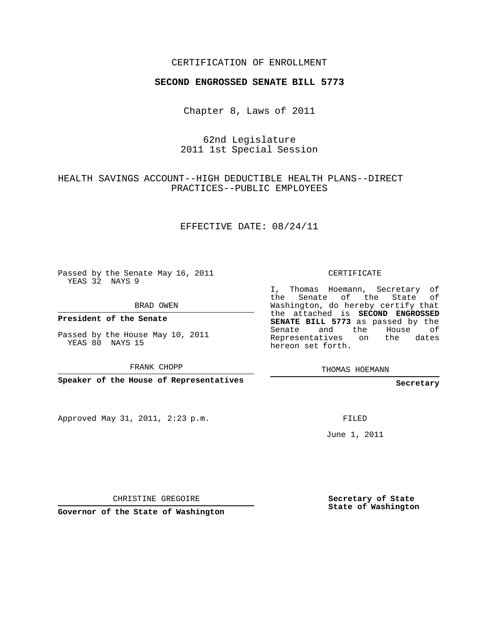## CERTIFICATION OF ENROLLMENT

### **SECOND ENGROSSED SENATE BILL 5773**

Chapter 8, Laws of 2011

62nd Legislature 2011 1st Special Session

HEALTH SAVINGS ACCOUNT--HIGH DEDUCTIBLE HEALTH PLANS--DIRECT PRACTICES--PUBLIC EMPLOYEES

EFFECTIVE DATE: 08/24/11

Passed by the Senate May 16, 2011 YEAS 32 NAYS 9

BRAD OWEN

**President of the Senate**

Passed by the House May 10, 2011 YEAS 80 NAYS 15

FRANK CHOPP

**Speaker of the House of Representatives**

Approved May 31, 2011, 2:23 p.m.

CERTIFICATE

I, Thomas Hoemann, Secretary of the Senate of the State of Washington, do hereby certify that the attached is **SECOND ENGROSSED SENATE BILL 5773** as passed by the Senate and the House of Representatives on the dates hereon set forth.

**Secretary**

FILED

June 1, 2011

CHRISTINE GREGOIRE

**Governor of the State of Washington**

**Secretary of State State of Washington**

THOMAS HOEMANN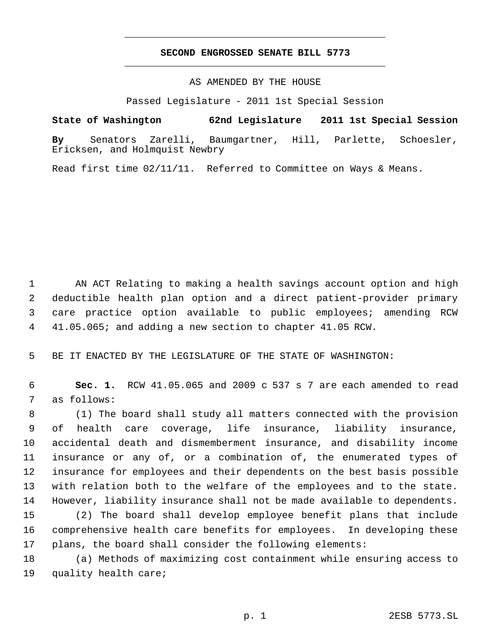# **SECOND ENGROSSED SENATE BILL 5773** \_\_\_\_\_\_\_\_\_\_\_\_\_\_\_\_\_\_\_\_\_\_\_\_\_\_\_\_\_\_\_\_\_\_\_\_\_\_\_\_\_\_\_\_\_

\_\_\_\_\_\_\_\_\_\_\_\_\_\_\_\_\_\_\_\_\_\_\_\_\_\_\_\_\_\_\_\_\_\_\_\_\_\_\_\_\_\_\_\_\_

## AS AMENDED BY THE HOUSE

Passed Legislature - 2011 1st Special Session

**State of Washington 62nd Legislature 2011 1st Special Session By** Senators Zarelli, Baumgartner, Hill, Parlette, Schoesler, Ericksen, and Holmquist Newbry

Read first time 02/11/11. Referred to Committee on Ways & Means.

 AN ACT Relating to making a health savings account option and high deductible health plan option and a direct patient-provider primary care practice option available to public employees; amending RCW 41.05.065; and adding a new section to chapter 41.05 RCW.

BE IT ENACTED BY THE LEGISLATURE OF THE STATE OF WASHINGTON:

 **Sec. 1.** RCW 41.05.065 and 2009 c 537 s 7 are each amended to read as follows:

 (1) The board shall study all matters connected with the provision of health care coverage, life insurance, liability insurance, accidental death and dismemberment insurance, and disability income insurance or any of, or a combination of, the enumerated types of insurance for employees and their dependents on the best basis possible with relation both to the welfare of the employees and to the state. However, liability insurance shall not be made available to dependents. (2) The board shall develop employee benefit plans that include comprehensive health care benefits for employees. In developing these plans, the board shall consider the following elements:

 (a) Methods of maximizing cost containment while ensuring access to quality health care;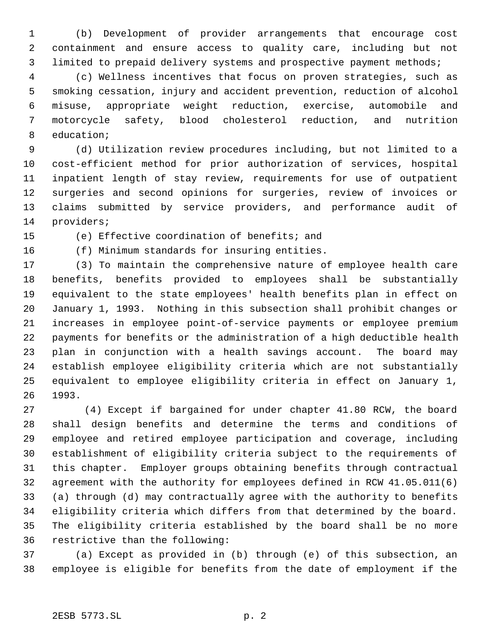(b) Development of provider arrangements that encourage cost containment and ensure access to quality care, including but not limited to prepaid delivery systems and prospective payment methods;

 (c) Wellness incentives that focus on proven strategies, such as smoking cessation, injury and accident prevention, reduction of alcohol misuse, appropriate weight reduction, exercise, automobile and motorcycle safety, blood cholesterol reduction, and nutrition education;

 (d) Utilization review procedures including, but not limited to a cost-efficient method for prior authorization of services, hospital inpatient length of stay review, requirements for use of outpatient surgeries and second opinions for surgeries, review of invoices or claims submitted by service providers, and performance audit of providers;

(e) Effective coordination of benefits; and

(f) Minimum standards for insuring entities.

 (3) To maintain the comprehensive nature of employee health care benefits, benefits provided to employees shall be substantially equivalent to the state employees' health benefits plan in effect on January 1, 1993. Nothing in this subsection shall prohibit changes or increases in employee point-of-service payments or employee premium payments for benefits or the administration of a high deductible health plan in conjunction with a health savings account. The board may establish employee eligibility criteria which are not substantially equivalent to employee eligibility criteria in effect on January 1, 1993.

27 (4) Except if bargained for under chapter 41.80 RCW, the board shall design benefits and determine the terms and conditions of employee and retired employee participation and coverage, including establishment of eligibility criteria subject to the requirements of this chapter. Employer groups obtaining benefits through contractual agreement with the authority for employees defined in RCW 41.05.011(6) (a) through (d) may contractually agree with the authority to benefits eligibility criteria which differs from that determined by the board. The eligibility criteria established by the board shall be no more restrictive than the following:

 (a) Except as provided in (b) through (e) of this subsection, an employee is eligible for benefits from the date of employment if the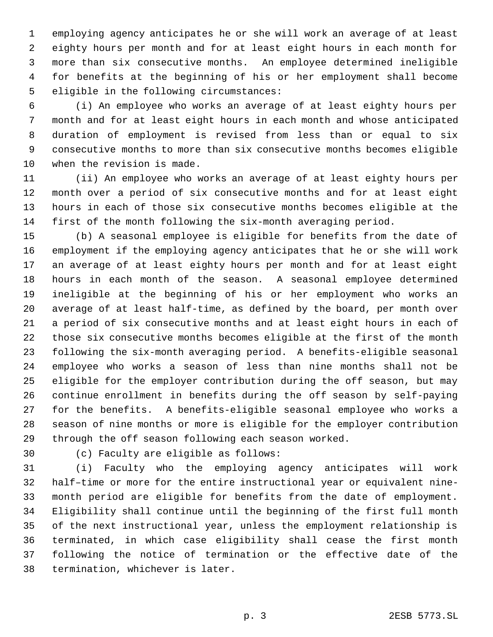employing agency anticipates he or she will work an average of at least eighty hours per month and for at least eight hours in each month for more than six consecutive months. An employee determined ineligible for benefits at the beginning of his or her employment shall become eligible in the following circumstances:

 (i) An employee who works an average of at least eighty hours per month and for at least eight hours in each month and whose anticipated duration of employment is revised from less than or equal to six consecutive months to more than six consecutive months becomes eligible when the revision is made.

 (ii) An employee who works an average of at least eighty hours per month over a period of six consecutive months and for at least eight hours in each of those six consecutive months becomes eligible at the first of the month following the six-month averaging period.

 (b) A seasonal employee is eligible for benefits from the date of employment if the employing agency anticipates that he or she will work an average of at least eighty hours per month and for at least eight hours in each month of the season. A seasonal employee determined ineligible at the beginning of his or her employment who works an average of at least half-time, as defined by the board, per month over a period of six consecutive months and at least eight hours in each of those six consecutive months becomes eligible at the first of the month following the six-month averaging period. A benefits-eligible seasonal employee who works a season of less than nine months shall not be eligible for the employer contribution during the off season, but may continue enrollment in benefits during the off season by self-paying for the benefits. A benefits-eligible seasonal employee who works a season of nine months or more is eligible for the employer contribution through the off season following each season worked.

(c) Faculty are eligible as follows:

 (i) Faculty who the employing agency anticipates will work half–time or more for the entire instructional year or equivalent nine- month period are eligible for benefits from the date of employment. Eligibility shall continue until the beginning of the first full month of the next instructional year, unless the employment relationship is terminated, in which case eligibility shall cease the first month following the notice of termination or the effective date of the termination, whichever is later.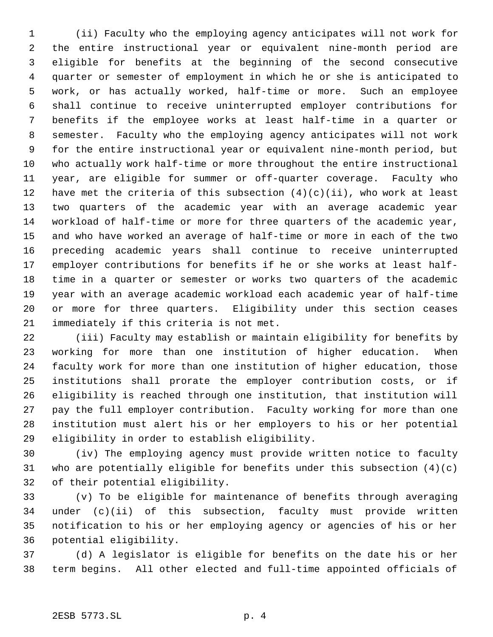(ii) Faculty who the employing agency anticipates will not work for the entire instructional year or equivalent nine-month period are eligible for benefits at the beginning of the second consecutive quarter or semester of employment in which he or she is anticipated to work, or has actually worked, half-time or more. Such an employee shall continue to receive uninterrupted employer contributions for benefits if the employee works at least half-time in a quarter or semester. Faculty who the employing agency anticipates will not work for the entire instructional year or equivalent nine-month period, but who actually work half-time or more throughout the entire instructional year, are eligible for summer or off-quarter coverage. Faculty who 12 have met the criteria of this subsection  $(4)(c)(ii)$ , who work at least two quarters of the academic year with an average academic year workload of half-time or more for three quarters of the academic year, and who have worked an average of half-time or more in each of the two preceding academic years shall continue to receive uninterrupted employer contributions for benefits if he or she works at least half- time in a quarter or semester or works two quarters of the academic year with an average academic workload each academic year of half-time or more for three quarters. Eligibility under this section ceases immediately if this criteria is not met.

 (iii) Faculty may establish or maintain eligibility for benefits by working for more than one institution of higher education. When faculty work for more than one institution of higher education, those institutions shall prorate the employer contribution costs, or if eligibility is reached through one institution, that institution will pay the full employer contribution. Faculty working for more than one institution must alert his or her employers to his or her potential eligibility in order to establish eligibility.

 (iv) The employing agency must provide written notice to faculty who are potentially eligible for benefits under this subsection (4)(c) of their potential eligibility.

 (v) To be eligible for maintenance of benefits through averaging under (c)(ii) of this subsection, faculty must provide written notification to his or her employing agency or agencies of his or her potential eligibility.

 (d) A legislator is eligible for benefits on the date his or her term begins. All other elected and full-time appointed officials of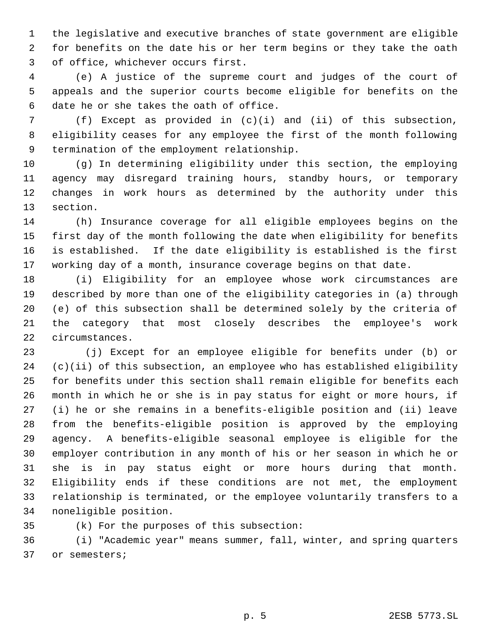the legislative and executive branches of state government are eligible for benefits on the date his or her term begins or they take the oath of office, whichever occurs first.

 (e) A justice of the supreme court and judges of the court of appeals and the superior courts become eligible for benefits on the date he or she takes the oath of office.

 (f) Except as provided in (c)(i) and (ii) of this subsection, eligibility ceases for any employee the first of the month following termination of the employment relationship.

 (g) In determining eligibility under this section, the employing agency may disregard training hours, standby hours, or temporary changes in work hours as determined by the authority under this section.

 (h) Insurance coverage for all eligible employees begins on the first day of the month following the date when eligibility for benefits is established. If the date eligibility is established is the first working day of a month, insurance coverage begins on that date.

 (i) Eligibility for an employee whose work circumstances are described by more than one of the eligibility categories in (a) through (e) of this subsection shall be determined solely by the criteria of the category that most closely describes the employee's work circumstances.

23 (j) Except for an employee eligible for benefits under (b) or (c)(ii) of this subsection, an employee who has established eligibility for benefits under this section shall remain eligible for benefits each month in which he or she is in pay status for eight or more hours, if (i) he or she remains in a benefits-eligible position and (ii) leave from the benefits-eligible position is approved by the employing agency. A benefits-eligible seasonal employee is eligible for the employer contribution in any month of his or her season in which he or she is in pay status eight or more hours during that month. Eligibility ends if these conditions are not met, the employment relationship is terminated, or the employee voluntarily transfers to a noneligible position.

(k) For the purposes of this subsection:

 (i) "Academic year" means summer, fall, winter, and spring quarters or semesters;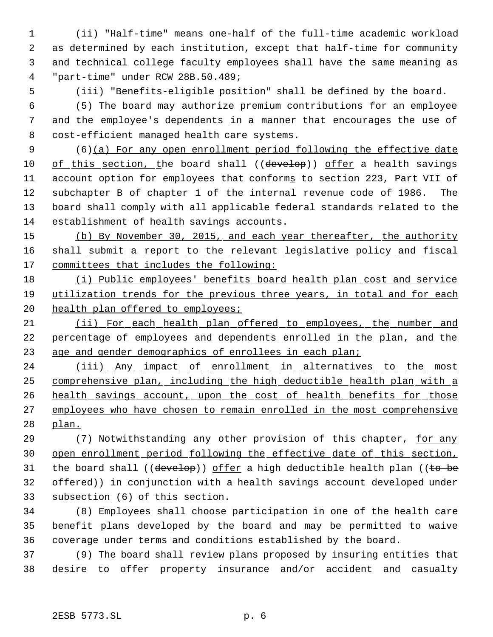(ii) "Half-time" means one-half of the full-time academic workload as determined by each institution, except that half-time for community and technical college faculty employees shall have the same meaning as "part-time" under RCW 28B.50.489;

(iii) "Benefits-eligible position" shall be defined by the board.

 (5) The board may authorize premium contributions for an employee and the employee's dependents in a manner that encourages the use of cost-efficient managed health care systems.

 (6)(a) For any open enrollment period following the effective date 10 of this section, the board shall ((develop)) offer a health savings 11 account option for employees that conforms to section 223, Part VII of subchapter B of chapter 1 of the internal revenue code of 1986. The board shall comply with all applicable federal standards related to the establishment of health savings accounts.

 (b) By November 30, 2015, and each year thereafter, the authority 16 shall submit a report to the relevant legislative policy and fiscal 17 committees that includes the following:

18 (i) Public employees' benefits board health plan cost and service utilization trends for the previous three years, in total and for each 20 health plan offered to employees;

 (ii) For each health plan offered to employees, the number and percentage of employees and dependents enrolled in the plan, and the 23 age and gender demographics of enrollees in each plan;

24 (iii) Any impact of enrollment in alternatives to the most comprehensive plan, including the high deductible health plan with a 26 health savings account, upon the cost of health benefits for those 27 employees who have chosen to remain enrolled in the most comprehensive plan.

 (7) Notwithstanding any other provision of this chapter, for any open enrollment period following the effective date of this section, 31 the board shall (( $\frac{deve1}{e}$ )) offer a high deductible health plan (( $\frac{te}{e}$  be 32 offered)) in conjunction with a health savings account developed under subsection (6) of this section.

 (8) Employees shall choose participation in one of the health care benefit plans developed by the board and may be permitted to waive coverage under terms and conditions established by the board.

 (9) The board shall review plans proposed by insuring entities that desire to offer property insurance and/or accident and casualty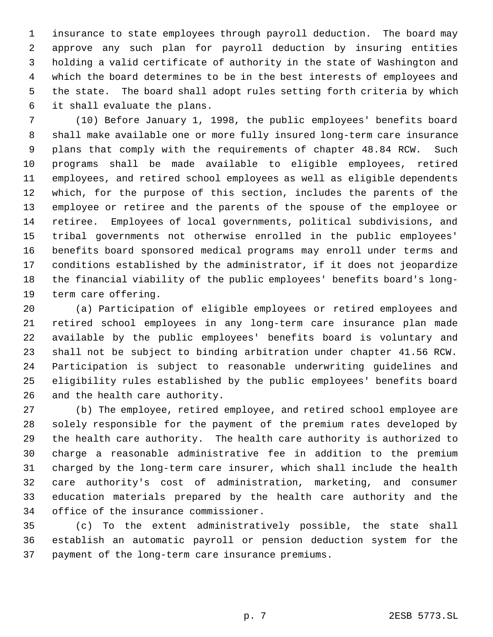insurance to state employees through payroll deduction. The board may approve any such plan for payroll deduction by insuring entities holding a valid certificate of authority in the state of Washington and which the board determines to be in the best interests of employees and the state. The board shall adopt rules setting forth criteria by which it shall evaluate the plans.

 (10) Before January 1, 1998, the public employees' benefits board shall make available one or more fully insured long-term care insurance plans that comply with the requirements of chapter 48.84 RCW. Such programs shall be made available to eligible employees, retired employees, and retired school employees as well as eligible dependents which, for the purpose of this section, includes the parents of the employee or retiree and the parents of the spouse of the employee or retiree. Employees of local governments, political subdivisions, and tribal governments not otherwise enrolled in the public employees' benefits board sponsored medical programs may enroll under terms and conditions established by the administrator, if it does not jeopardize the financial viability of the public employees' benefits board's long-term care offering.

 (a) Participation of eligible employees or retired employees and retired school employees in any long-term care insurance plan made available by the public employees' benefits board is voluntary and shall not be subject to binding arbitration under chapter 41.56 RCW. Participation is subject to reasonable underwriting guidelines and eligibility rules established by the public employees' benefits board and the health care authority.

 (b) The employee, retired employee, and retired school employee are solely responsible for the payment of the premium rates developed by the health care authority. The health care authority is authorized to charge a reasonable administrative fee in addition to the premium charged by the long-term care insurer, which shall include the health care authority's cost of administration, marketing, and consumer education materials prepared by the health care authority and the office of the insurance commissioner.

 (c) To the extent administratively possible, the state shall establish an automatic payroll or pension deduction system for the payment of the long-term care insurance premiums.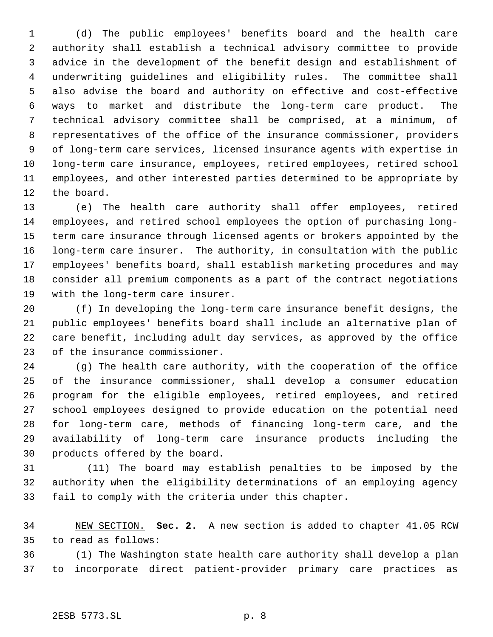(d) The public employees' benefits board and the health care authority shall establish a technical advisory committee to provide advice in the development of the benefit design and establishment of underwriting guidelines and eligibility rules. The committee shall also advise the board and authority on effective and cost-effective ways to market and distribute the long-term care product. The technical advisory committee shall be comprised, at a minimum, of representatives of the office of the insurance commissioner, providers of long-term care services, licensed insurance agents with expertise in long-term care insurance, employees, retired employees, retired school employees, and other interested parties determined to be appropriate by the board.

 (e) The health care authority shall offer employees, retired employees, and retired school employees the option of purchasing long- term care insurance through licensed agents or brokers appointed by the long-term care insurer. The authority, in consultation with the public employees' benefits board, shall establish marketing procedures and may consider all premium components as a part of the contract negotiations with the long-term care insurer.

 (f) In developing the long-term care insurance benefit designs, the public employees' benefits board shall include an alternative plan of care benefit, including adult day services, as approved by the office of the insurance commissioner.

 (g) The health care authority, with the cooperation of the office of the insurance commissioner, shall develop a consumer education program for the eligible employees, retired employees, and retired school employees designed to provide education on the potential need for long-term care, methods of financing long-term care, and the availability of long-term care insurance products including the products offered by the board.

31 (11) The board may establish penalties to be imposed by the authority when the eligibility determinations of an employing agency fail to comply with the criteria under this chapter.

 NEW SECTION. **Sec. 2.** A new section is added to chapter 41.05 RCW to read as follows:

 (1) The Washington state health care authority shall develop a plan to incorporate direct patient-provider primary care practices as